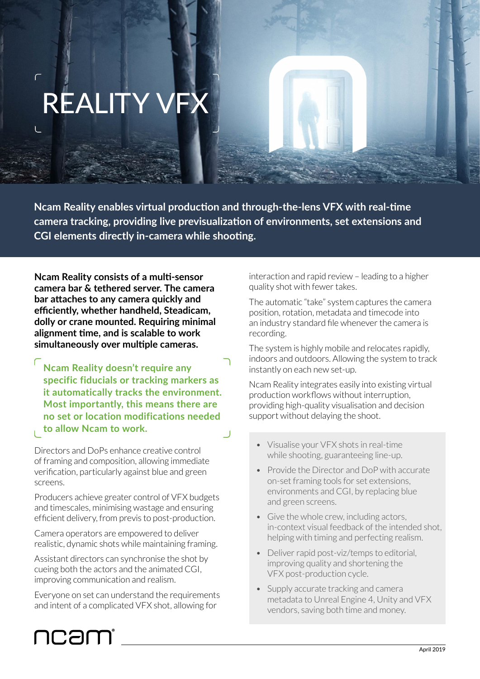# REALITY \

 $\sqrt{2}$ 

**Ncam Reality enables virtual production and through-the-lens VFX with real-time camera tracking, providing live previsualization of environments, set extensions and CGI elements directly in-camera while shooting.**

**Ncam Reality consists of a multi-sensor camera bar & tethered server. The camera bar attaches to any camera quickly and efficiently, whether handheld, Steadicam, dolly or crane mounted. Requiring minimal alignment time, and is scalable to work simultaneously over multiple cameras.**

**Ncam Reality doesn't require any specific fiducials or tracking markers as it automatically tracks the environment. Most importantly, this means there are no set or location modifications needed to allow Ncam to work.**

Directors and DoPs enhance creative control of framing and composition, allowing immediate verification, particularly against blue and green screens.

Producers achieve greater control of VFX budgets and timescales, minimising wastage and ensuring efficient delivery, from previs to post-production.

Camera operators are empowered to deliver realistic, dynamic shots while maintaining framing.

Assistant directors can synchronise the shot by cueing both the actors and the animated CGI, improving communication and realism.

Everyone on set can understand the requirements and intent of a complicated VFX shot, allowing for

ncam

## interaction and rapid review – leading to a higher quality shot with fewer takes.

The automatic "take" system captures the camera position, rotation, metadata and timecode into an industry standard file whenever the camera is recording.

The system is highly mobile and relocates rapidly, indoors and outdoors. Allowing the system to track instantly on each new set-up.

Ncam Reality integrates easily into existing virtual production workflows without interruption, providing high-quality visualisation and decision support without delaying the shoot.

- Visualise your VFX shots in real-time while shooting, guaranteeing line-up.
- Provide the Director and DoP with accurate on-set framing tools for set extensions, environments and CGI, by replacing blue and green screens.
- Give the whole crew, including actors, in-context visual feedback of the intended shot, helping with timing and perfecting realism.
- Deliver rapid post-viz/temps to editorial, improving quality and shortening the VFX post-production cycle.
- Supply accurate tracking and camera metadata to Unreal Engine 4, Unity and VFX vendors, saving both time and money.